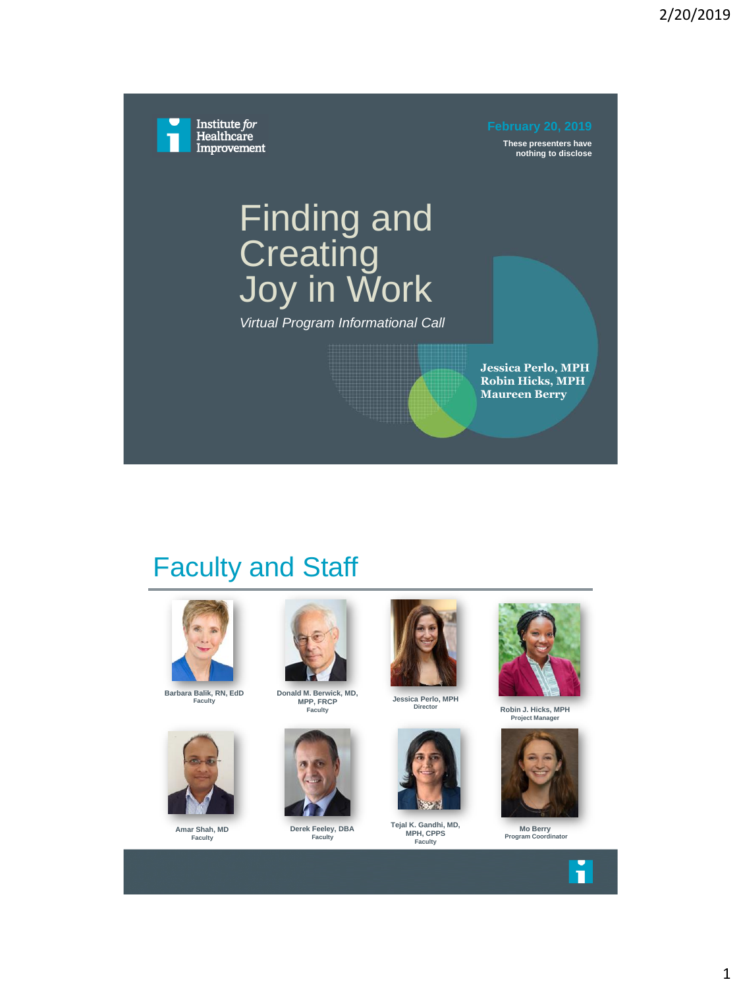Institute for Healthcare Improvement

**These presenters have nothing to disclose**

# Finding and **Creating** Joy in Work

*Virtual Program Informational Call*

**Jessica Perlo, MPH Robin Hicks, MPH Maureen Berry**

#### Faculty and Staff



**Barbara Balik, RN, EdD Faculty**



**Amar Shah, MD Faculty**



**Donald M. Berwick, MD, MPP, FRCP Faculty**



**Derek Feeley, DBA Faculty**



**Jessica Perlo, MPH Director**



**Tejal K. Gandhi, MD, MPH, CPPS Faculty**



**Robin J. Hicks, MPH Project Manager** 



**Mo Berry Program Coordinator**





П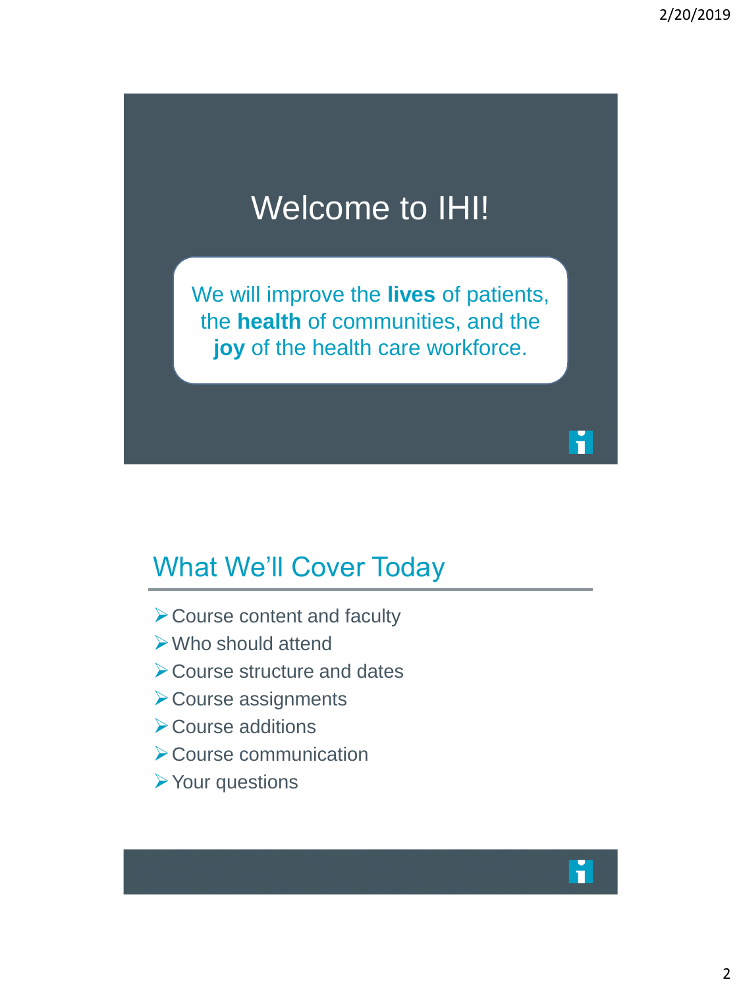# Welcome to IHI!

We will improve the **lives** of patients, the **health** of communities, and the **joy** of the health care workforce.

#### What We'll Cover Today

- ➢Course content and faculty
- ➢Who should attend
- ➢Course structure and dates
- ➢Course assignments
- ➢Course additions
- ➢Course communication
- ➢Your questions



n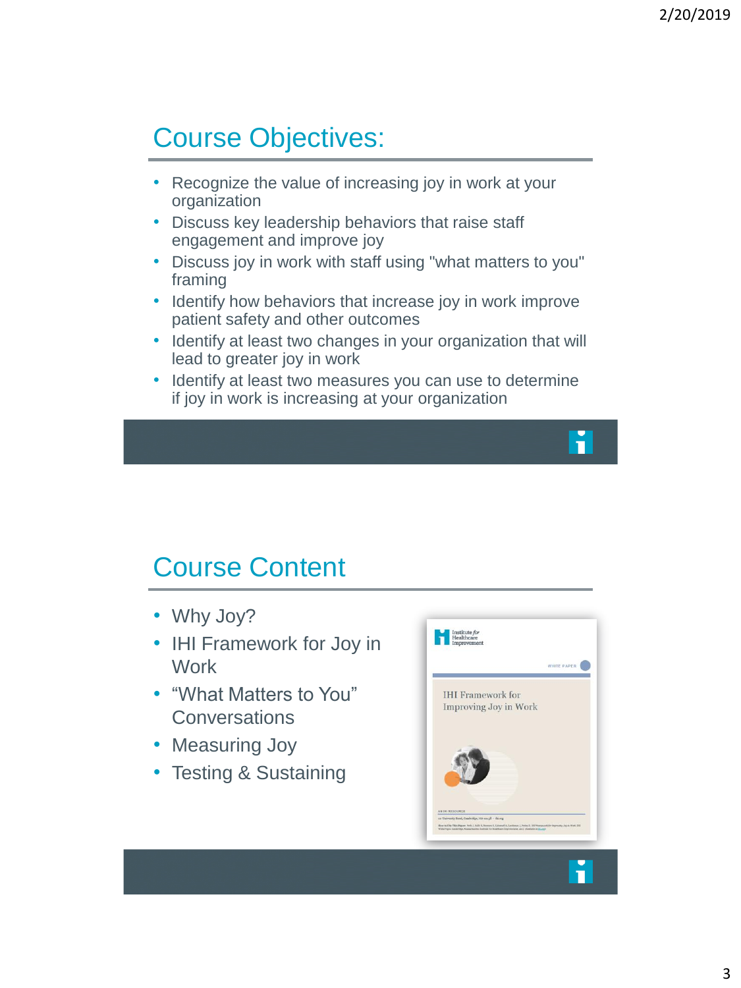### Course Objectives:

- Recognize the value of increasing joy in work at your organization
- Discuss key leadership behaviors that raise staff engagement and improve joy
- Discuss joy in work with staff using "what matters to you" framing
- Identify how behaviors that increase joy in work improve patient safety and other outcomes
- Identify at least two changes in your organization that will lead to greater joy in work
- Identify at least two measures you can use to determine if joy in work is increasing at your organization

#### Course Content

- Why Joy?
- IHI Framework for Joy in **Work**
- "What Matters to You" **Conversations**
- Measuring Joy
- Testing & Sustaining



П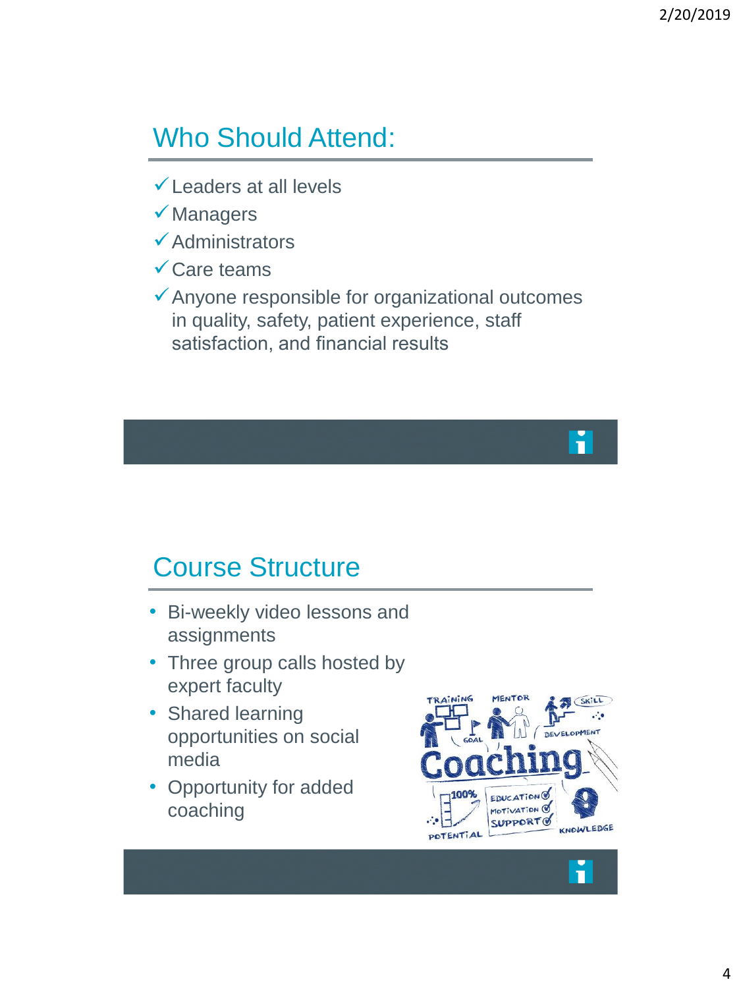#### Who Should Attend:

- $\checkmark$  Leaders at all levels
- ✓Managers
- ✓Administrators
- ✓Care teams
- $\checkmark$  Anyone responsible for organizational outcomes in quality, safety, patient experience, staff satisfaction, and financial results

#### Course Structure

- Bi-weekly video lessons and assignments
- Three group calls hosted by expert faculty
- Shared learning opportunities on social media
- Opportunity for added coaching

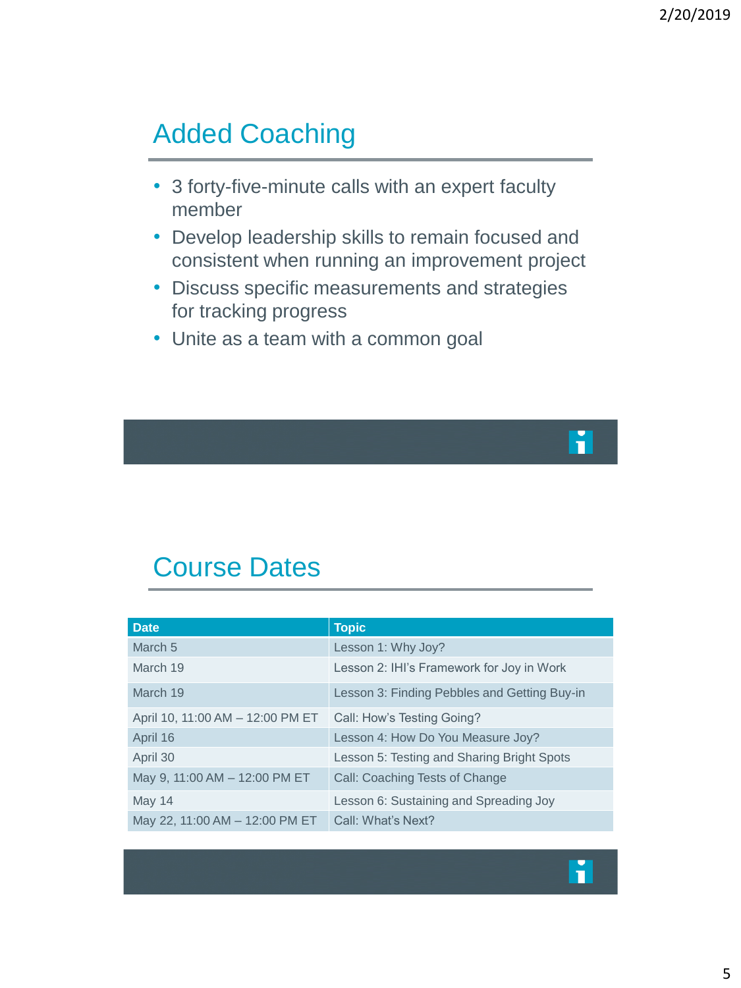### Added Coaching

- 3 forty-five-minute calls with an expert faculty member
- Develop leadership skills to remain focused and consistent when running an improvement project
- Discuss specific measurements and strategies for tracking progress
- Unite as a team with a common goal

## П

#### Course Dates

| <b>Date</b>                      | <b>Topic</b>                                 |
|----------------------------------|----------------------------------------------|
| March <sub>5</sub>               | Lesson 1: Why Joy?                           |
| March 19                         | Lesson 2: IHI's Framework for Joy in Work    |
| March 19                         | Lesson 3: Finding Pebbles and Getting Buy-in |
| April 10, 11:00 AM - 12:00 PM ET | Call: How's Testing Going?                   |
| April 16                         | Lesson 4: How Do You Measure Joy?            |
| April 30                         | Lesson 5: Testing and Sharing Bright Spots   |
| May 9, 11:00 AM - 12:00 PM ET    | Call: Coaching Tests of Change               |
| May 14                           | Lesson 6: Sustaining and Spreading Joy       |
| May 22, 11:00 AM - 12:00 PM ET   | Call: What's Next?                           |

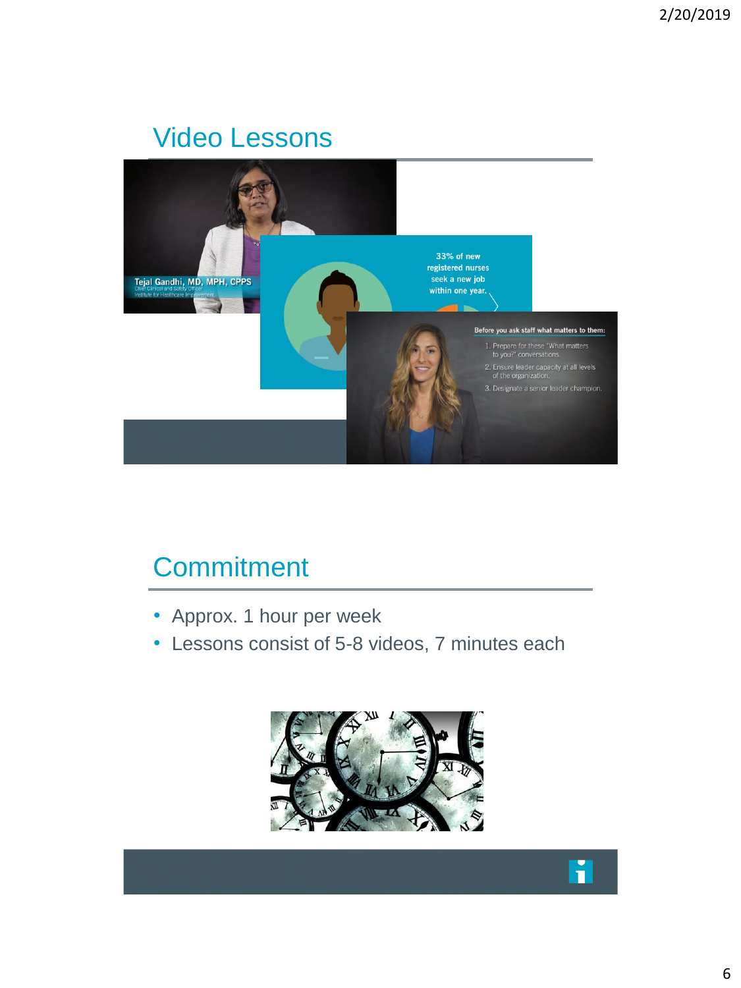#### Video Lessons



#### **Commitment**

- Approx. 1 hour per week
- Lessons consist of 5-8 videos, 7 minutes each